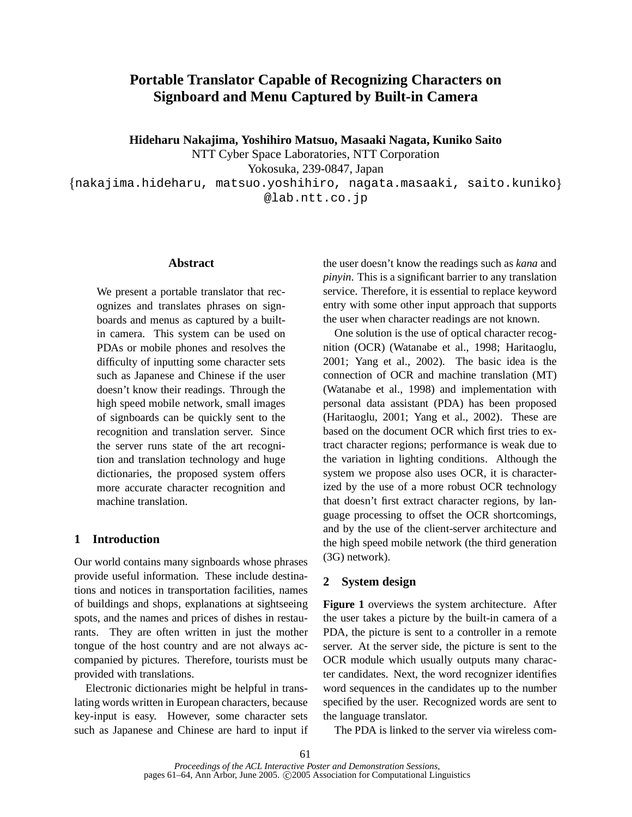# **Portable Translator Capable of Recognizing Characters on Signboard and Menu Captured by Built-in Camera**

**Hideharu Nakajima, Yoshihiro Matsuo, Masaaki Nagata, Kuniko Saito**

NTT Cyber Space Laboratories, NTT Corporation

Yokosuka, 239-0847, Japan

 nakajima.hideharu, matsuo.yoshihiro, nagata.masaaki, saito.kuniko @lab.ntt.co.jp

### **Abstract**

We present a portable translator that recognizes and translates phrases on signboards and menus as captured by a builtin camera. This system can be used on PDAs or mobile phones and resolves the difficulty of inputting some character sets such as Japanese and Chinese if the user doesn't know their readings. Through the high speed mobile network, small images of signboards can be quickly sent to the recognition and translation server. Since the server runs state of the art recognition and translation technology and huge dictionaries, the proposed system offers more accurate character recognition and machine translation.

# **1 Introduction**

Our world contains many signboards whose phrases provide useful information. These include destinations and notices in transportation facilities, names of buildings and shops, explanations at sightseeing spots, and the names and prices of dishes in restaurants. They are often written in just the mother tongue of the host country and are not always accompanied by pictures. Therefore, tourists must be provided with translations.

Electronic dictionaries might be helpful in translating words written in European characters, because key-input is easy. However, some character sets such as Japanese and Chinese are hard to input if the user doesn't know the readings such as *kana* and *pinyin*. This is a significant barrier to any translation service. Therefore, it is essential to replace keyword entry with some other input approach that supports the user when character readings are not known.

One solution is the use of optical character recognition (OCR) (Watanabe et al., 1998; Haritaoglu, 2001; Yang et al., 2002). The basic idea is the connection of OCR and machine translation (MT) (Watanabe et al., 1998) and implementation with personal data assistant (PDA) has been proposed (Haritaoglu, 2001; Yang et al., 2002). These are based on the document OCR which first tries to extract character regions; performance is weak due to the variation in lighting conditions. Although the system we propose also uses OCR, it is characterized by the use of a more robust OCR technology that doesn't first extract character regions, by language processing to offset the OCR shortcomings, and by the use of the client-server architecture and the high speed mobile network (the third generation (3G) network).

# **2 System design**

**Figure 1** overviews the system architecture. After the user takes a picture by the built-in camera of a PDA, the picture is sent to a controller in a remote server. At the server side, the picture is sent to the OCR module which usually outputs many character candidates. Next, the word recognizer identifies word sequences in the candidates up to the number specified by the user. Recognized words are sent to the language translator.

The PDA is linked to the server via wireless com-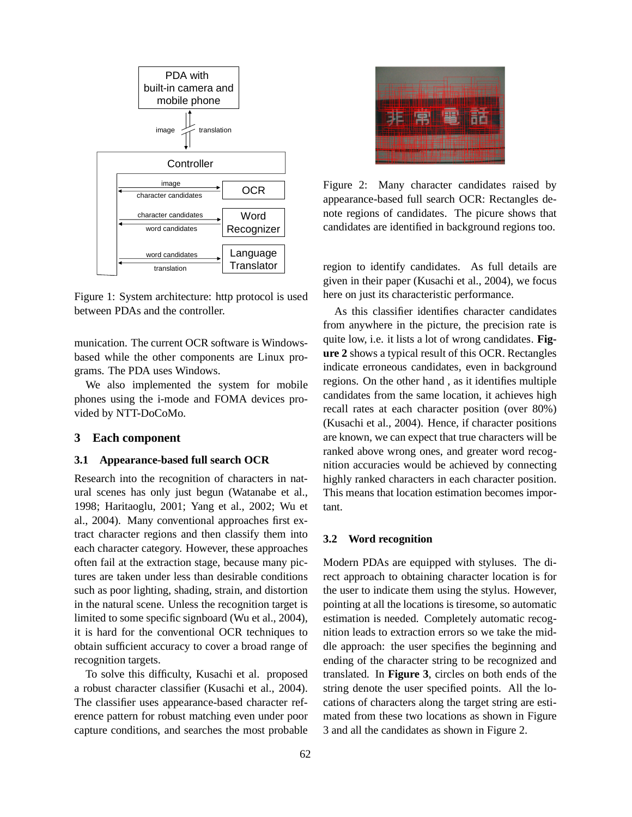

Figure 1: System architecture: http protocol is used between PDAs and the controller.

munication. The current OCR software is Windowsbased while the other components are Linux programs. The PDA uses Windows.

We also implemented the system for mobile phones using the i-mode and FOMA devices provided by NTT-DoCoMo.

#### **3 Each component**

### **3.1 Appearance-based full search OCR**

Research into the recognition of characters in natural scenes has only just begun (Watanabe et al., 1998; Haritaoglu, 2001; Yang et al., 2002; Wu et al., 2004). Many conventional approaches first extract character regions and then classify them into each character category. However, these approaches often fail at the extraction stage, because many pictures are taken under less than desirable conditions such as poor lighting, shading, strain, and distortion in the natural scene. Unless the recognition target is limited to some specific signboard (Wu et al., 2004), it is hard for the conventional OCR techniques to obtain sufficient accuracy to cover a broad range of recognition targets.

To solve this difficulty, Kusachi et al. proposed a robust character classifier (Kusachi et al., 2004). The classifier uses appearance-based character reference pattern for robust matching even under poor capture conditions, and searches the most probable



Figure 2: Many character candidates raised by appearance-based full search OCR: Rectangles denote regions of candidates. The picure shows that candidates are identified in background regions too.

region to identify candidates. As full details are given in their paper (Kusachi et al., 2004), we focus here on just its characteristic performance.

As this classifier identifies character candidates from anywhere in the picture, the precision rate is quite low, i.e. it lists a lot of wrong candidates. **Figure 2** shows a typical result of this OCR. Rectangles indicate erroneous candidates, even in background regions. On the other hand , as it identifies multiple candidates from the same location, it achieves high recall rates at each character position (over 80%) (Kusachi et al., 2004). Hence, if character positions are known, we can expect that true characters will be ranked above wrong ones, and greater word recognition accuracies would be achieved by connecting highly ranked characters in each character position. This means that location estimation becomes important.

#### **3.2 Word recognition**

Modern PDAs are equipped with styluses. The direct approach to obtaining character location is for the user to indicate them using the stylus. However, pointing at all the locations is tiresome, so automatic estimation is needed. Completely automatic recognition leads to extraction errors so we take the middle approach: the user specifies the beginning and ending of the character string to be recognized and translated. In **Figure 3**, circles on both ends of the string denote the user specified points. All the locations of characters along the target string are estimated from these two locations as shown in Figure 3 and all the candidates as shown in Figure 2.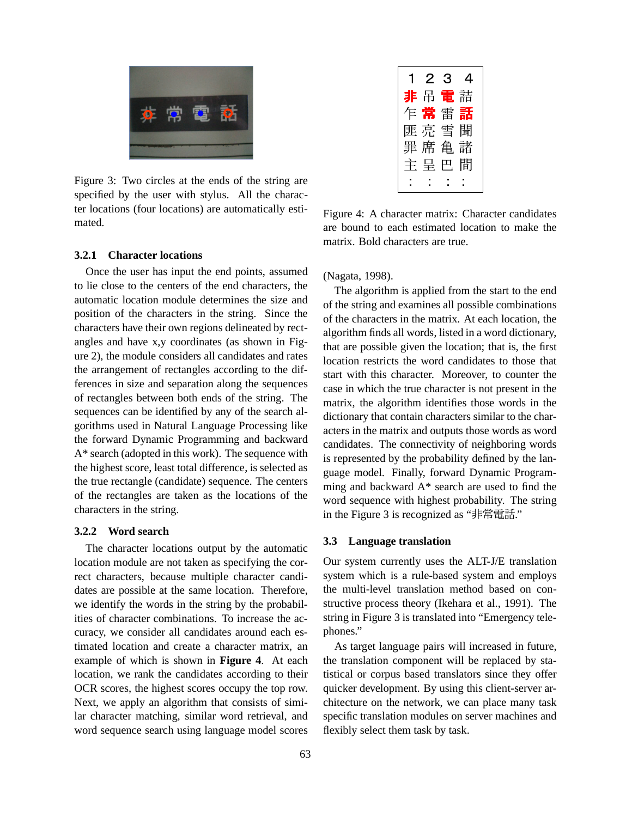

Figure 3: Two circles at the ends of the string are specified by the user with stylus. All the character locations (four locations) are automatically estimated.

### **3.2.1 Character locations**

Once the user has input the end points, assumed to lie close to the centers of the end characters, the automatic location module determines the size and position of the characters in the string. Since the characters have their own regions delineated by rectangles and have x,y coordinates (as shown in Figure 2), the module considers all candidates and rates the arrangement of rectangles according to the differences in size and separation along the sequences of rectangles between both ends of the string. The sequences can be identified by any of the search algorithms used in Natural Language Processing like the forward Dynamic Programming and backward A\* search (adopted in this work). The sequence with the highest score, least total difference, is selected as the true rectangle (candidate) sequence. The centers of the rectangles are taken as the locations of the characters in the string.

#### **3.2.2 Word search**

The character locations output by the automatic location module are not taken as specifying the correct characters, because multiple character candidates are possible at the same location. Therefore, we identify the words in the string by the probabilities of character combinations. To increase the accuracy, we consider all candidates around each estimated location and create a character matrix, an example of which is shown in **Figure 4**. At each location, we rank the candidates according to their OCR scores, the highest scores occupy the top row. Next, we apply an algorithm that consists of similar character matching, similar word retrieval, and word sequence search using language model scores

| $1\,2\,3$ | $\overline{4}$ |
|-----------|----------------|
| 非吊電詰      |                |
| 乍常雷話      |                |
| 匪亮雪聞      |                |
| 罪席亀諸      |                |
| 主呈巴間      |                |
|           |                |

Figure 4: A character matrix: Character candidates are bound to each estimated location to make the matrix. Bold characters are true.

(Nagata, 1998).

The algorithm is applied from the start to the end of the string and examines all possible combinations of the characters in the matrix. At each location, the algorithm finds all words, listed in a word dictionary, that are possible given the location; that is, the first location restricts the word candidates to those that start with this character. Moreover, to counter the case in which the true character is not present in the matrix, the algorithm identifies those words in the dictionary that contain characters similar to the characters in the matrix and outputs those words as word candidates. The connectivity of neighboring words is represented by the probability defined by the language model. Finally, forward Dynamic Programming and backward A\* search are used to find the word sequence with highest probability. The string in the Figure 3 is recognized as "非常電話."

#### **3.3 Language translation**

Our system currently uses the ALT-J/E translation system which is a rule-based system and employs the multi-level translation method based on constructive process theory (Ikehara et al., 1991). The string in Figure 3 is translated into "Emergency telephones."

As target language pairs will increased in future, the translation component will be replaced by statistical or corpus based translators since they offer quicker development. By using this client-server architecture on the network, we can place many task specific translation modules on server machines and flexibly select them task by task.